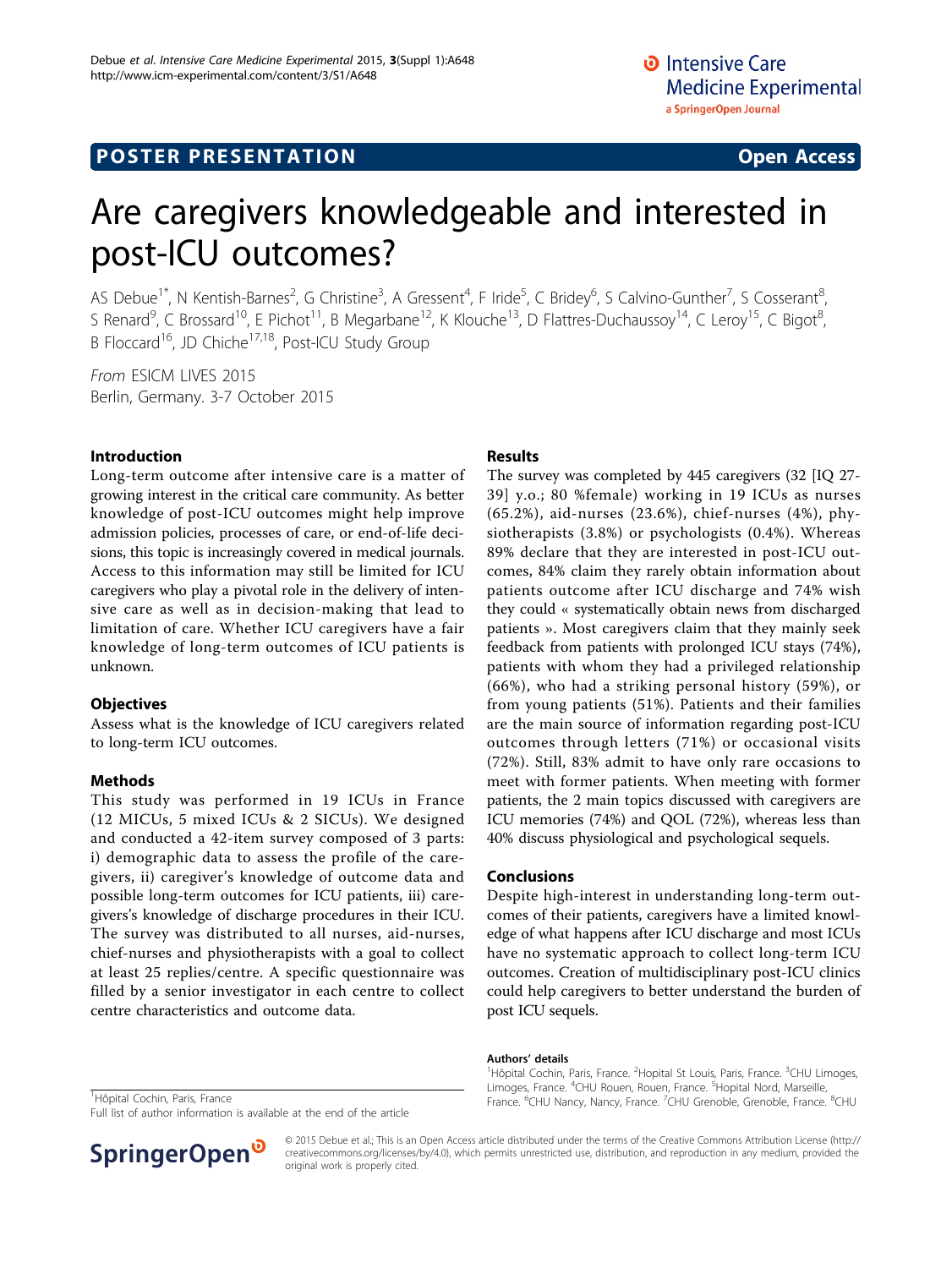# Are caregivers knowledgeable and interested in post-ICU outcomes?

AS Debue<sup>1\*</sup>, N Kentish-Barnes<sup>2</sup>, G Christine<sup>3</sup>, A Gressent<sup>4</sup>, F Iride<sup>5</sup>, C Bridey<sup>6</sup>, S Calvino-Gunther<sup>7</sup>, S Cosserant<sup>8</sup> .<br>ו S Renard<sup>9</sup>, C Brossard<sup>10</sup>, E Pichot<sup>11</sup>, B Megarbane<sup>12</sup>, K Klouche<sup>13</sup>, D Flattres-Duchaussoy<sup>14</sup>, C Leroy<sup>15</sup>, C Bigot<sup>8</sup> .<br>, B Floccard<sup>16</sup>, JD Chiche<sup>17,18</sup>, Post-ICU Study Group

From ESICM LIVES 2015 Berlin, Germany. 3-7 October 2015

## Introduction

Long-term outcome after intensive care is a matter of growing interest in the critical care community. As better knowledge of post-ICU outcomes might help improve admission policies, processes of care, or end-of-life decisions, this topic is increasingly covered in medical journals. Access to this information may still be limited for ICU caregivers who play a pivotal role in the delivery of intensive care as well as in decision-making that lead to limitation of care. Whether ICU caregivers have a fair knowledge of long-term outcomes of ICU patients is unknown.

## **Objectives**

Assess what is the knowledge of ICU caregivers related to long-term ICU outcomes.

## Methods

This study was performed in 19 ICUs in France (12 MICUs, 5 mixed ICUs & 2 SICUs). We designed and conducted a 42-item survey composed of 3 parts: i) demographic data to assess the profile of the caregivers, ii) caregiver's knowledge of outcome data and possible long-term outcomes for ICU patients, iii) caregivers's knowledge of discharge procedures in their ICU. The survey was distributed to all nurses, aid-nurses, chief-nurses and physiotherapists with a goal to collect at least 25 replies/centre. A specific questionnaire was filled by a senior investigator in each centre to collect centre characteristics and outcome data.

## Results

The survey was completed by 445 caregivers (32 [IQ 27- 39] y.o.; 80 %female) working in 19 ICUs as nurses (65.2%), aid-nurses (23.6%), chief-nurses (4%), physiotherapists (3.8%) or psychologists (0.4%). Whereas 89% declare that they are interested in post-ICU outcomes, 84% claim they rarely obtain information about patients outcome after ICU discharge and 74% wish they could « systematically obtain news from discharged patients ». Most caregivers claim that they mainly seek feedback from patients with prolonged ICU stays (74%), patients with whom they had a privileged relationship (66%), who had a striking personal history (59%), or from young patients (51%). Patients and their families are the main source of information regarding post-ICU outcomes through letters (71%) or occasional visits (72%). Still, 83% admit to have only rare occasions to meet with former patients. When meeting with former patients, the 2 main topics discussed with caregivers are ICU memories (74%) and QOL (72%), whereas less than 40% discuss physiological and psychological sequels.

## Conclusions

Despite high-interest in understanding long-term outcomes of their patients, caregivers have a limited knowledge of what happens after ICU discharge and most ICUs have no systematic approach to collect long-term ICU outcomes. Creation of multidisciplinary post-ICU clinics could help caregivers to better understand the burden of post ICU sequels.

#### Authors' details <sup>1</sup>

Hôpital Cochin, Paris, France. <sup>2</sup>Hopital St Louis, Paris, France. <sup>3</sup>CHU Limoges, Limoges, France. <sup>4</sup>CHU Rouen, Rouen, France. <sup>5</sup>Hopital Nord, Marseille Hôpital Cochin, Paris, France. Cho Roach, Honce. Cho Roach, Honce. The Roach, Hance. The Roach, Hance. Temples Research 1999.

Hôpital Cochin, Paris, France

Full list of author information is available at the end of the article



© 2015 Debue et al.; This is an Open Access article distributed under the terms of the Creative Commons Attribution License [\(http://](http://creativecommons.org/licenses/by/4.0) [creativecommons.org/licenses/by/4.0](http://creativecommons.org/licenses/by/4.0)), which permits unrestricted use, distribution, and reproduction in any medium, provided the original work is properly cited.